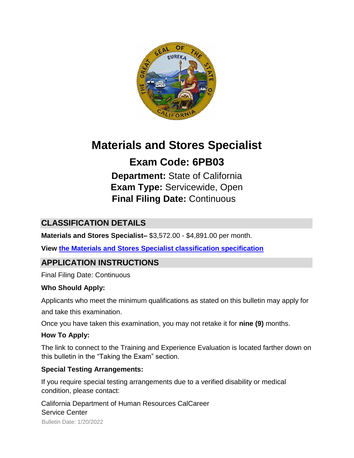

# **Materials and Stores Specialist**

# **Exam Code: 6PB03**

**Department:** State of California **Exam Type:** Servicewide, Open **Final Filing Date:** Continuous

# **CLASSIFICATION DETAILS**

**Materials and Stores Specialist–** \$3,572.00 - \$4,891.00 per month.

**View [the Materials and Stores Specialist classification specification](http://calhr.ca.gov/state-hr-professionals/pages/1506.aspx)**

# **APPLICATION INSTRUCTIONS**

Final Filing Date: Continuous

#### **Who Should Apply:**

Applicants who meet the minimum qualifications as stated on this bulletin may apply for

and take this examination.

Once you have taken this examination, you may not retake it for **nine (9)** months.

#### **How To Apply:**

The link to connect to the Training and Experience Evaluation is located farther down on this bulletin in the "Taking the Exam" section.

#### **Special Testing Arrangements:**

If you require special testing arrangements due to a verified disability or medical condition, please contact:

California Department of Human Resources CalCareer Service Center

Bulletin Date: 1/20/2022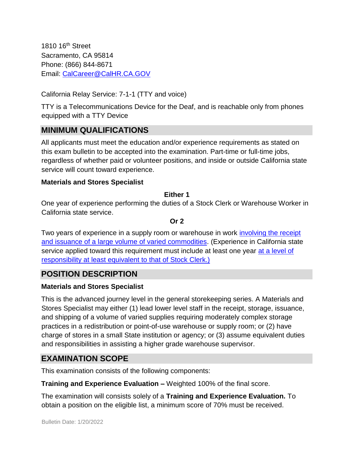1810 16th Street Sacramento, CA 95814 Phone: (866) 844-8671 Email: CalCareer@CalHR.CA.GOV

California Relay Service: 7-1-1 (TTY and voice)

TTY is a Telecommunications Device for the Deaf, and is reachable only from phones equipped with a TTY Device

## **MINIMUM QUALIFICATIONS**

All applicants must meet the education and/or experience requirements as stated on this exam bulletin to be accepted into the examination. Part-time or full-time jobs, regardless of whether paid or volunteer positions, and inside or outside California state service will count toward experience.

#### **Materials and Stores Specialist**

#### **Either 1**

One year of experience performing the duties of a Stock Clerk or Warehouse Worker in California state service.

#### **Or 2**

Two years of experience in a supply room or warehouse in work [involving the receipt](https://jobs.ca.gov/JOBSGEN/6PB03C.PDF) [and issuance of a large volume of varied commodities.](https://jobs.ca.gov/JOBSGEN/6PB03C.PDF) (Experience in California state service applied toward this requirement must include at least one year [at a level of](https://jobs.ca.gov/JOBSGEN/6PB03B.PDF) [responsibility at least equivalent to that of Stock Clerk.\)](https://jobs.ca.gov/JOBSGEN/6PB03B.PDF)

## **POSITION DESCRIPTION**

#### **Materials and Stores Specialist**

This is the advanced journey level in the general storekeeping series. A Materials and Stores Specialist may either (1) lead lower level staff in the receipt, storage, issuance, and shipping of a volume of varied supplies requiring moderately complex storage practices in a redistribution or point-of-use warehouse or supply room; or (2) have charge of stores in a small State institution or agency; or (3) assume equivalent duties and responsibilities in assisting a higher grade warehouse supervisor.

## **EXAMINATION SCOPE**

This examination consists of the following components:

**Training and Experience Evaluation –** Weighted 100% of the final score.

The examination will consists solely of a **Training and Experience Evaluation.** To obtain a position on the eligible list, a minimum score of 70% must be received.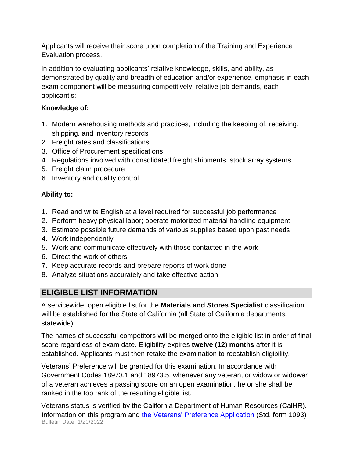Applicants will receive their score upon completion of the Training and Experience Evaluation process.

In addition to evaluating applicants' relative knowledge, skills, and ability, as demonstrated by quality and breadth of education and/or experience, emphasis in each exam component will be measuring competitively, relative job demands, each applicant's:

#### **Knowledge of:**

- 1. Modern warehousing methods and practices, including the keeping of, receiving, shipping, and inventory records
- 2. Freight rates and classifications
- 3. Office of Procurement specifications
- 4. Regulations involved with consolidated freight shipments, stock array systems
- 5. Freight claim procedure
- 6. Inventory and quality control

#### **Ability to:**

- 1. Read and write English at a level required for successful job performance
- 2. Perform heavy physical labor; operate motorized material handling equipment
- 3. Estimate possible future demands of various supplies based upon past needs
- 4. Work independently
- 5. Work and communicate effectively with those contacted in the work
- 6. Direct the work of others
- 7. Keep accurate records and prepare reports of work done
- 8. Analyze situations accurately and take effective action

# **ELIGIBLE LIST INFORMATION**

A servicewide, open eligible list for the **Materials and Stores Specialist** classification will be established for the State of California (all State of California departments, statewide).

The names of successful competitors will be merged onto the eligible list in order of final score regardless of exam date. Eligibility expires **twelve (12) months** after it is established. Applicants must then retake the examination to reestablish eligibility.

Veterans' Preference will be granted for this examination. In accordance with Government Codes 18973.1 and 18973.5, whenever any veteran, or widow or widower of a veteran achieves a passing score on an open examination, he or she shall be ranked in the top rank of the resulting eligible list.

Bulletin Date: 1/20/2022 Veterans status is verified by the California Department of Human Resources (CalHR). Information on this program and [the Veterans' Preference Application](https://www.jobs.ca.gov/CalHRPublic/Landing/Jobs/VeteransInformation.aspx) [\(](https://www.jobs.ca.gov/CalHRPublic/Landing/Jobs/VeteransInformation.aspx)Std. form 1093)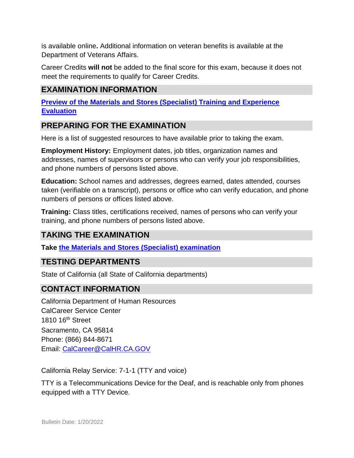is available online**.** Additional information on veteran benefits is available at the Department of Veterans Affairs.

Career Credits **will not** be added to the final score for this exam, because it does not meet the requirements to qualify for Career Credits.

## **EXAMINATION INFORMATION**

**[Preview of the Materials and Stores \(Specialist\) Training and Experience](https://jobs.ca.gov/jobsgen/6PB03A.pdf) [Evaluation](https://jobs.ca.gov/jobsgen/6PB03A.pdf)**

#### **PREPARING FOR THE EXAMINATION**

Here is a list of suggested resources to have available prior to taking the exam.

**Employment History:** Employment dates, job titles, organization names and addresses, names of supervisors or persons who can verify your job responsibilities, and phone numbers of persons listed above.

**Education:** School names and addresses, degrees earned, dates attended, courses taken (verifiable on a transcript), persons or office who can verify education, and phone numbers of persons or offices listed above.

**Training:** Class titles, certifications received, names of persons who can verify your training, and phone numbers of persons listed above.

## **TAKING THE EXAMINATION**

**Take [the Materials and Stores \(Specialist\) examination](https://exams.spb.ca.gov/exams/msspec/index.cfm)**

## **TESTING DEPARTMENTS**

State of California (all State of California departments)

## **CONTACT INFORMATION**

California Department of Human Resources CalCareer Service Center 1810 16<sup>th</sup> Street Sacramento, CA 95814 Phone: (866) 844-8671 Email: CalCareer@CalHR.CA.GOV

California Relay Service: 7-1-1 (TTY and voice)

TTY is a Telecommunications Device for the Deaf, and is reachable only from phones equipped with a TTY Device.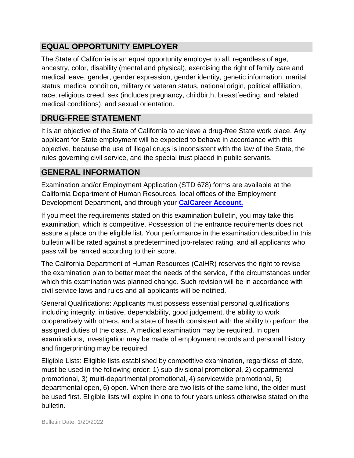# **EQUAL OPPORTUNITY EMPLOYER**

The State of California is an equal opportunity employer to all, regardless of age, ancestry, color, disability (mental and physical), exercising the right of family care and medical leave, gender, gender expression, gender identity, genetic information, marital status, medical condition, military or veteran status, national origin, political affiliation, race, religious creed, sex (includes pregnancy, childbirth, breastfeeding, and related medical conditions), and sexual orientation.

## **DRUG-FREE STATEMENT**

It is an objective of the State of California to achieve a drug-free State work place. Any applicant for State employment will be expected to behave in accordance with this objective, because the use of illegal drugs is inconsistent with the law of the State, the rules governing civil service, and the special trust placed in public servants.

## **GENERAL INFORMATION**

Examination and/or Employment Application (STD 678) forms are available at the California Department of Human Resources, local offices of the Employment Development Department, and through your **[CalCareer Account.](http://www.jobs.ca.gov/)**

If you meet the requirements stated on this examination bulletin, you may take this examination, which is competitive. Possession of the entrance requirements does not assure a place on the eligible list. Your performance in the examination described in this bulletin will be rated against a predetermined job-related rating, and all applicants who pass will be ranked according to their score.

The California Department of Human Resources (CalHR) reserves the right to revise the examination plan to better meet the needs of the service, if the circumstances under which this examination was planned change. Such revision will be in accordance with civil service laws and rules and all applicants will be notified.

General Qualifications: Applicants must possess essential personal qualifications including integrity, initiative, dependability, good judgement, the ability to work cooperatively with others, and a state of health consistent with the ability to perform the assigned duties of the class. A medical examination may be required. In open examinations, investigation may be made of employment records and personal history and fingerprinting may be required.

Eligible Lists: Eligible lists established by competitive examination, regardless of date, must be used in the following order: 1) sub-divisional promotional, 2) departmental promotional, 3) multi-departmental promotional, 4) servicewide promotional, 5) departmental open, 6) open. When there are two lists of the same kind, the older must be used first. Eligible lists will expire in one to four years unless otherwise stated on the bulletin.